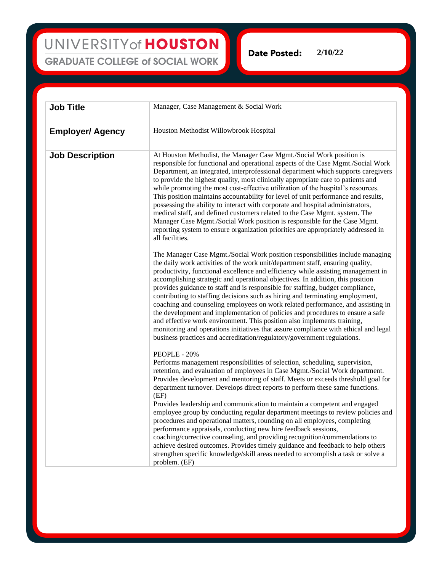UNIVERSITY of HOUSTON **GRADUATE COLLEGE of SOCIAL WORK** 

**2/10/22Date Posted:** 

| <b>Job Title</b>        | Manager, Case Management & Social Work                                                                                                                                                                                                                                                                                                                                                                                                                                                                                                                                                                                                                                                                                                                                                                                                                                                                                     |
|-------------------------|----------------------------------------------------------------------------------------------------------------------------------------------------------------------------------------------------------------------------------------------------------------------------------------------------------------------------------------------------------------------------------------------------------------------------------------------------------------------------------------------------------------------------------------------------------------------------------------------------------------------------------------------------------------------------------------------------------------------------------------------------------------------------------------------------------------------------------------------------------------------------------------------------------------------------|
| <b>Employer/ Agency</b> | Houston Methodist Willowbrook Hospital                                                                                                                                                                                                                                                                                                                                                                                                                                                                                                                                                                                                                                                                                                                                                                                                                                                                                     |
| <b>Job Description</b>  | At Houston Methodist, the Manager Case Mgmt./Social Work position is<br>responsible for functional and operational aspects of the Case Mgmt./Social Work<br>Department, an integrated, interprofessional department which supports caregivers<br>to provide the highest quality, most clinically appropriate care to patients and<br>while promoting the most cost-effective utilization of the hospital's resources.<br>This position maintains accountability for level of unit performance and results,<br>possessing the ability to interact with corporate and hospital administrators,<br>medical staff, and defined customers related to the Case Mgmt. system. The<br>Manager Case Mgmt./Social Work position is responsible for the Case Mgmt.<br>reporting system to ensure organization priorities are appropriately addressed in<br>all facilities.                                                            |
|                         | The Manager Case Mgmt./Social Work position responsibilities include managing<br>the daily work activities of the work unit/department staff, ensuring quality,<br>productivity, functional excellence and efficiency while assisting management in<br>accomplishing strategic and operational objectives. In addition, this position<br>provides guidance to staff and is responsible for staffing, budget compliance,<br>contributing to staffing decisions such as hiring and terminating employment,<br>coaching and counseling employees on work related performance, and assisting in<br>the development and implementation of policies and procedures to ensure a safe<br>and effective work environment. This position also implements training,<br>monitoring and operations initiatives that assure compliance with ethical and legal<br>business practices and accreditation/regulatory/government regulations. |
|                         | PEOPLE - 20%<br>Performs management responsibilities of selection, scheduling, supervision,<br>retention, and evaluation of employees in Case Mgmt./Social Work department.<br>Provides development and mentoring of staff. Meets or exceeds threshold goal for<br>department turnover. Develops direct reports to perform these same functions.<br>(EF)<br>Provides leadership and communication to maintain a competent and engaged                                                                                                                                                                                                                                                                                                                                                                                                                                                                                      |
|                         | employee group by conducting regular department meetings to review policies and<br>procedures and operational matters, rounding on all employees, completing<br>performance appraisals, conducting new hire feedback sessions,<br>coaching/corrective counseling, and providing recognition/commendations to<br>achieve desired outcomes. Provides timely guidance and feedback to help others<br>strengthen specific knowledge/skill areas needed to accomplish a task or solve a<br>problem. (EF)                                                                                                                                                                                                                                                                                                                                                                                                                        |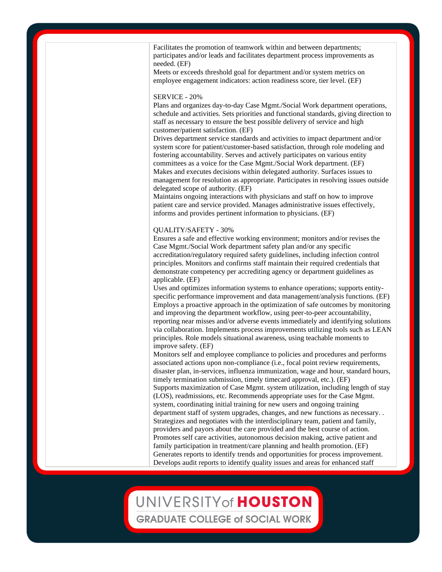Facilitates the promotion of teamwork within and between departments; participates and/or leads and facilitates department process improvements as needed. (EF)

Meets or exceeds threshold goal for department and/or system metrics on employee engagement indicators: action readiness score, tier level. (EF)

#### SERVICE - 20%

Plans and organizes day-to-day Case Mgmt./Social Work department operations, schedule and activities. Sets priorities and functional standards, giving direction to staff as necessary to ensure the best possible delivery of service and high customer/patient satisfaction. (EF)

Drives department service standards and activities to impact department and/or system score for patient/customer-based satisfaction, through role modeling and fostering accountability. Serves and actively participates on various entity committees as a voice for the Case Mgmt./Social Work department. (EF) Makes and executes decisions within delegated authority. Surfaces issues to management for resolution as appropriate. Participates in resolving issues outside delegated scope of authority. (EF)

Maintains ongoing interactions with physicians and staff on how to improve patient care and service provided. Manages administrative issues effectively, informs and provides pertinent information to physicians. (EF)

#### QUALITY/SAFETY - 30%

Ensures a safe and effective working environment; monitors and/or revises the Case Mgmt./Social Work department safety plan and/or any specific accreditation/regulatory required safety guidelines, including infection control principles. Monitors and confirms staff maintain their required credentials that demonstrate competency per accrediting agency or department guidelines as applicable. (EF)

Uses and optimizes information systems to enhance operations; supports entityspecific performance improvement and data management/analysis functions. (EF) Employs a proactive approach in the optimization of safe outcomes by monitoring and improving the department workflow, using peer-to-peer accountability, reporting near misses and/or adverse events immediately and identifying solutions via collaboration. Implements process improvements utilizing tools such as LEAN principles. Role models situational awareness, using teachable moments to improve safety. (EF)

Monitors self and employee compliance to policies and procedures and performs associated actions upon non-compliance (i.e., focal point review requirements, disaster plan, in-services, influenza immunization, wage and hour, standard hours, timely termination submission, timely timecard approval, etc.). (EF) Supports maximization of Case Mgmt. system utilization, including length of stay (LOS), readmissions, etc. Recommends appropriate uses for the Case Mgmt. system, coordinating initial training for new users and ongoing training department staff of system upgrades, changes, and new functions as necessary. . Strategizes and negotiates with the interdisciplinary team, patient and family, providers and payors about the care provided and the best course of action. Promotes self care activities, autonomous decision making, active patient and family participation in treatment/care planning and health promotion. (EF) Generates reports to identify trends and opportunities for process improvement. Develops audit reports to identify quality issues and areas for enhanced staff

### UNIVERSITY of HOUSTON **GRADUATE COLLEGE of SOCIAL WORK**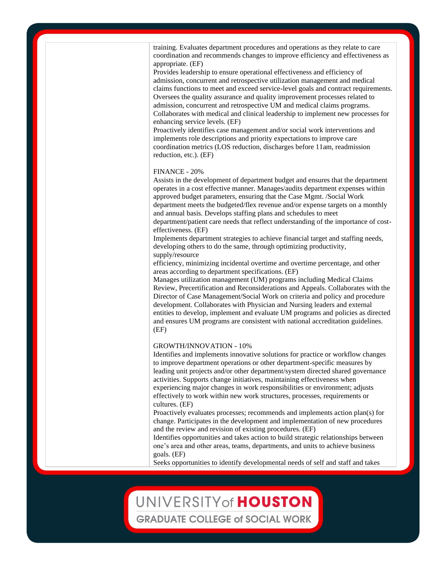training. Evaluates department procedures and operations as they relate to care coordination and recommends changes to improve efficiency and effectiveness as appropriate. (EF)

Provides leadership to ensure operational effectiveness and efficiency of admission, concurrent and retrospective utilization management and medical claims functions to meet and exceed service-level goals and contract requirements. Oversees the quality assurance and quality improvement processes related to admission, concurrent and retrospective UM and medical claims programs. Collaborates with medical and clinical leadership to implement new processes for enhancing service levels. (EF)

Proactively identifies case management and/or social work interventions and implements role descriptions and priority expectations to improve care coordination metrics (LOS reduction, discharges before 11am, readmission reduction, etc.). (EF)

#### FINANCE - 20%

Assists in the development of department budget and ensures that the department operates in a cost effective manner. Manages/audits department expenses within approved budget parameters, ensuring that the Case Mgmt. /Social Work department meets the budgeted/flex revenue and/or expense targets on a monthly and annual basis. Develops staffing plans and schedules to meet

department/patient care needs that reflect understanding of the importance of costeffectiveness. (EF)

Implements department strategies to achieve financial target and staffing needs, developing others to do the same, through optimizing productivity, supply/resource

efficiency, minimizing incidental overtime and overtime percentage, and other areas according to department specifications. (EF)

Manages utilization management (UM) programs including Medical Claims Review, Precertification and Reconsiderations and Appeals. Collaborates with the Director of Case Management/Social Work on criteria and policy and procedure development. Collaborates with Physician and Nursing leaders and external entities to develop, implement and evaluate UM programs and policies as directed and ensures UM programs are consistent with national accreditation guidelines. (EF)

#### GROWTH/INNOVATION - 10%

Identifies and implements innovative solutions for practice or workflow changes to improve department operations or other department-specific measures by leading unit projects and/or other department/system directed shared governance activities. Supports change initiatives, maintaining effectiveness when experiencing major changes in work responsibilities or environment; adjusts effectively to work within new work structures, processes, requirements or cultures. (EF)

Proactively evaluates processes; recommends and implements action plan(s) for change. Participates in the development and implementation of new procedures and the review and revision of existing procedures. (EF)

Identifies opportunities and takes action to build strategic relationships between one's area and other areas, teams, departments, and units to achieve business goals. (EF)

Seeks opportunities to identify developmental needs of self and staff and takes

# UNIVERSITY of HOUSTON

**GRADUATE COLLEGE of SOCIAL WORK**